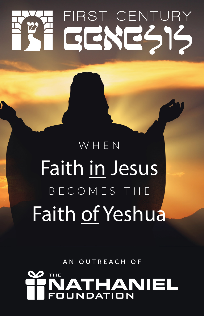# FIRST CENTURY GENES15

## WHEN Faith in Jesus BECOMES THE Faith of Yeshua

AN OUTREACH OF

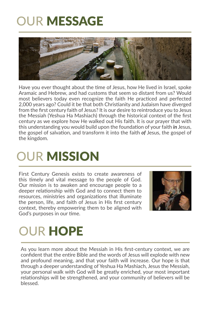### OUR MESSAGE



Have you ever thought about the time of Jesus, how He lived in Israel, spoke Aramaic and Hebrew, and had customs that seem so distant from us? Would most believers today even recognize the faith He practiced and perfected 2,000 years ago? Could it be that both Christianity and Judaism have diverged from the first century faith of Jesus? It is our desire to reintroduce you to Jesus the Messiah (Yeshua Ha Mashiach) through the historical context of the first century as we explore how He walked out His faith. It is our prayer that with this understanding you would build upon the foundation of your faith *in* Jesus, the gospel of salvation, and transform it into the faith *of* Jesus, the gospel of the kingdom.

### **OUR MISSION**

First Century Genesis exists to create awareness of this timely and vital message to the people of God. Our mission is to awaken and encourage people to a deeper relationship with God and to connect them to resources, ministries and organizations that illuminate the person, life, and faith of Jesus in His first century context, thereby empowering them to be aligned with God's purposes in our time.



### OUR HOPE

As you learn more about the Messiah in His first-century context, we are confident that the entire Bible and the words of Jesus will explode with new and profound meaning, and that your faith will increase. Our hope is that through a deeper understanding of Yeshua Ha Mashiach, Jesus the Messiah, your personal walk with God will be greatly enriched, your most important relationships will be strengthened, and your community of believers will be blessed.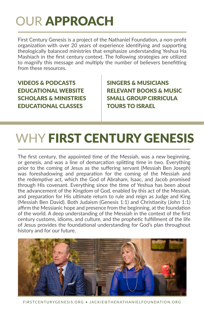### OUR APPROACH

First Century Genesis is a project of the Nathaniel Foundation, a non-profit organization with over 20 years of experience identifying and supporting theologically balanced ministries that emphasize understanding Yeshua Ha Mashiach in the first century context. The following strategies are utilized to magnify this message and multiply the number of believers benefitting from these resources.

VIDEOS & PODCASTS EDUCATIONAL WEBSITE SCHOLARS & MINISTRIES EDUCATIONAL CLASSES

SINGERS & MUSICIANS RELEVANT BOOKS & MUSIC SMALL GROUP CIRRICULA TOURS TO ISRAEL

### WHY FIRST CENTURY GENESIS

The first century, the appointed time of the Messiah, was a new beginning, or genesis, and was a line of demarcation splitting time in two. Everything prior to the coming of Jesus as the suffering servant (Messiah Ben Joseph) was foreshadowing and preparation for the coming of the Messiah and the redemptive act, which the God of Abraham, Isaac, and Jacob promised through His covenant. Everything since the time of Yeshua has been about the advancement of the Kingdom of God, enabled by this act of the Messiah, and preparation for His ultimate return to rule and reign as Judge and King (Messiah Ben David). Both Judaism (Genesis 1:1) and Christianity (John 1:1) affirm the Messianic hope and presence from the beginning, at the foundation of the world. A deep understanding of the Messiah in the context of the first century customs, idioms, and culture, and the prophetic fulfillment of the life of Jesus provides the foundational understanding for God's plan throughout history and for our future.



FIRSTCENTURYGENESIS.ORG • JACKIE@THENATHANIELFOUNDATION.ORG